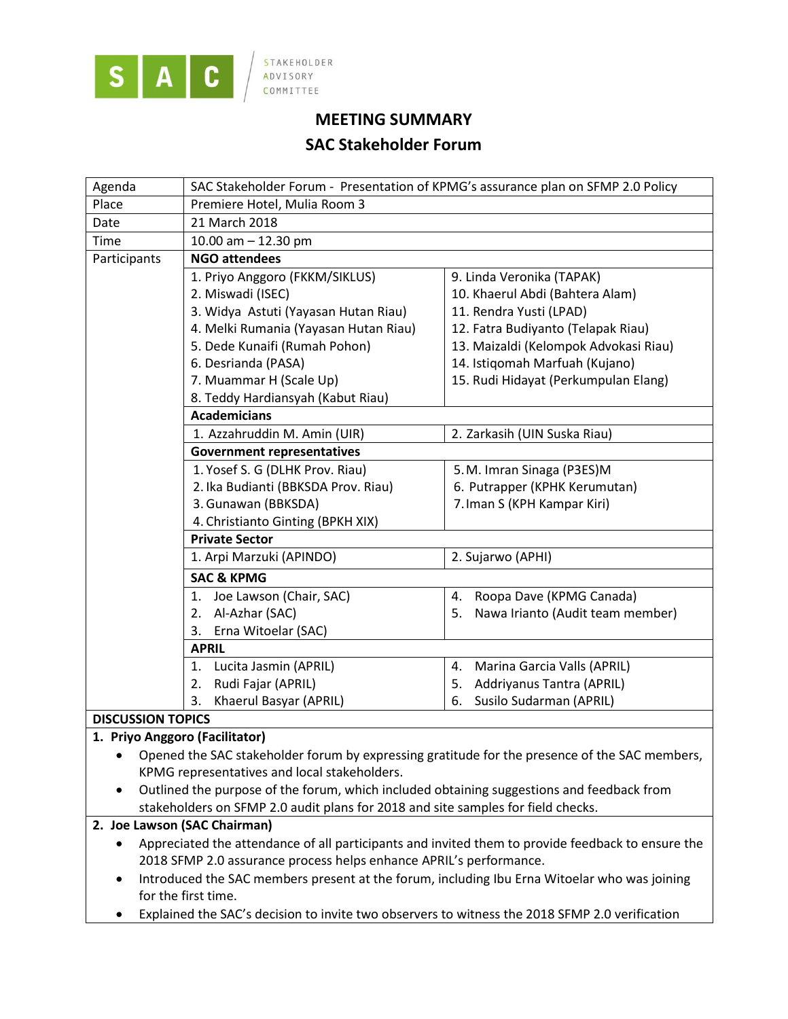

## **MEETING SUMMARY**

## **SAC Stakeholder Forum**

| SAC Stakeholder Forum - Presentation of KPMG's assurance plan on SFMP 2.0 Policy                                                                                             |                                                                                                                                                            |  |
|------------------------------------------------------------------------------------------------------------------------------------------------------------------------------|------------------------------------------------------------------------------------------------------------------------------------------------------------|--|
| Premiere Hotel, Mulia Room 3                                                                                                                                                 |                                                                                                                                                            |  |
| 21 March 2018                                                                                                                                                                |                                                                                                                                                            |  |
| 10.00 am $-$ 12.30 pm                                                                                                                                                        |                                                                                                                                                            |  |
| <b>NGO attendees</b>                                                                                                                                                         |                                                                                                                                                            |  |
| 1. Priyo Anggoro (FKKM/SIKLUS)                                                                                                                                               | 9. Linda Veronika (TAPAK)                                                                                                                                  |  |
| 2. Miswadi (ISEC)                                                                                                                                                            | 10. Khaerul Abdi (Bahtera Alam)                                                                                                                            |  |
| 3. Widya Astuti (Yayasan Hutan Riau)                                                                                                                                         | 11. Rendra Yusti (LPAD)                                                                                                                                    |  |
| 4. Melki Rumania (Yayasan Hutan Riau)                                                                                                                                        | 12. Fatra Budiyanto (Telapak Riau)                                                                                                                         |  |
| 5. Dede Kunaifi (Rumah Pohon)                                                                                                                                                | 13. Maizaldi (Kelompok Advokasi Riau)                                                                                                                      |  |
| 6. Desrianda (PASA)                                                                                                                                                          | 14. Istigomah Marfuah (Kujano)                                                                                                                             |  |
| 7. Muammar H (Scale Up)                                                                                                                                                      | 15. Rudi Hidayat (Perkumpulan Elang)                                                                                                                       |  |
|                                                                                                                                                                              |                                                                                                                                                            |  |
|                                                                                                                                                                              |                                                                                                                                                            |  |
| 1. Azzahruddin M. Amin (UIR)                                                                                                                                                 | 2. Zarkasih (UIN Suska Riau)                                                                                                                               |  |
| <b>Government representatives</b>                                                                                                                                            |                                                                                                                                                            |  |
| 1. Yosef S. G (DLHK Prov. Riau)                                                                                                                                              | 5.M. Imran Sinaga (P3ES)M                                                                                                                                  |  |
| 2. Ika Budianti (BBKSDA Prov. Riau)                                                                                                                                          | 6. Putrapper (KPHK Kerumutan)                                                                                                                              |  |
| 3. Gunawan (BBKSDA)                                                                                                                                                          | 7. Iman S (KPH Kampar Kiri)                                                                                                                                |  |
| 4. Christianto Ginting (BPKH XIX)                                                                                                                                            |                                                                                                                                                            |  |
| <b>Private Sector</b>                                                                                                                                                        |                                                                                                                                                            |  |
| 1. Arpi Marzuki (APINDO)                                                                                                                                                     | 2. Sujarwo (APHI)                                                                                                                                          |  |
| <b>SAC &amp; KPMG</b>                                                                                                                                                        |                                                                                                                                                            |  |
| Joe Lawson (Chair, SAC)<br>1.                                                                                                                                                | Roopa Dave (KPMG Canada)<br>4.                                                                                                                             |  |
| 2. Al-Azhar (SAC)                                                                                                                                                            | Nawa Irianto (Audit team member)<br>5.                                                                                                                     |  |
| 3. Erna Witoelar (SAC)                                                                                                                                                       |                                                                                                                                                            |  |
| <b>APRIL</b>                                                                                                                                                                 |                                                                                                                                                            |  |
| 1. Lucita Jasmin (APRIL)                                                                                                                                                     | Marina Garcia Valls (APRIL)<br>4.                                                                                                                          |  |
| 2. Rudi Fajar (APRIL)                                                                                                                                                        | Addriyanus Tantra (APRIL)<br>5.                                                                                                                            |  |
| Khaerul Basyar (APRIL)<br>3.                                                                                                                                                 | Susilo Sudarman (APRIL)<br>6.                                                                                                                              |  |
| <b>DISCUSSION TOPICS</b>                                                                                                                                                     |                                                                                                                                                            |  |
| 1. Priyo Anggoro (Facilitator)                                                                                                                                               |                                                                                                                                                            |  |
| Opened the SAC stakeholder forum by expressing gratitude for the presence of the SAC members,                                                                                |                                                                                                                                                            |  |
| KPMG representatives and local stakeholders.                                                                                                                                 |                                                                                                                                                            |  |
| Outlined the purpose of the forum, which included obtaining suggestions and feedback from<br>٠                                                                               |                                                                                                                                                            |  |
| stakeholders on SFMP 2.0 audit plans for 2018 and site samples for field checks.                                                                                             |                                                                                                                                                            |  |
| 2. Joe Lawson (SAC Chairman)                                                                                                                                                 |                                                                                                                                                            |  |
| Appreciated the attendance of all participants and invited them to provide feedback to ensure the<br>٠<br>2018 SFMP 2.0 assurance process helps enhance APRIL's performance. |                                                                                                                                                            |  |
| Introduced the SAC members present at the forum, including Ibu Erna Witoelar who was joining<br>for the first time.                                                          |                                                                                                                                                            |  |
|                                                                                                                                                                              |                                                                                                                                                            |  |
|                                                                                                                                                                              | 8. Teddy Hardiansyah (Kabut Riau)<br><b>Academicians</b><br>Explained the SAC's decision to invite two observers to witness the 2018 SFMP 2.0 verification |  |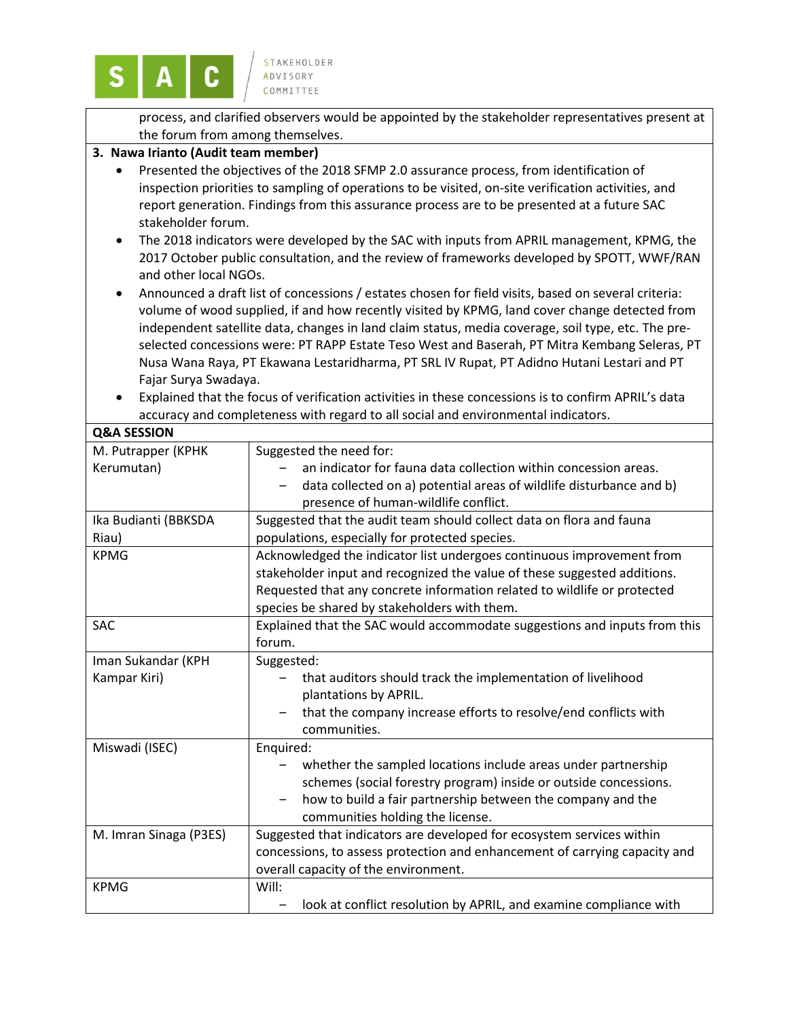

process, and clarified observers would be appointed by the stakeholder representatives present at the forum from among themselves.

## **3. Nawa Irianto (Audit team member)**

- Presented the objectives of the 2018 SFMP 2.0 assurance process, from identification of inspection priorities to sampling of operations to be visited, on-site verification activities, and report generation. Findings from this assurance process are to be presented at a future SAC stakeholder forum.
- The 2018 indicators were developed by the SAC with inputs from APRIL management, KPMG, the 2017 October public consultation, and the review of frameworks developed by SPOTT, WWF/RAN and other local NGOs.
- Announced a draft list of concessions / estates chosen for field visits, based on several criteria: volume of wood supplied, if and how recently visited by KPMG, land cover change detected from independent satellite data, changes in land claim status, media coverage, soil type, etc. The preselected concessions were: PT RAPP Estate Teso West and Baserah, PT Mitra Kembang Seleras, PT Nusa Wana Raya, PT Ekawana Lestaridharma, PT SRL IV Rupat, PT Adidno Hutani Lestari and PT Fajar Surya Swadaya.
- Explained that the focus of verification activities in these concessions is to confirm APRIL's data accuracy and completeness with regard to all social and environmental indicators.

| <b>Q&amp;A SESSION</b> |                                                                            |
|------------------------|----------------------------------------------------------------------------|
| M. Putrapper (KPHK     | Suggested the need for:                                                    |
| Kerumutan)             | an indicator for fauna data collection within concession areas.            |
|                        | data collected on a) potential areas of wildlife disturbance and b)        |
|                        | presence of human-wildlife conflict.                                       |
| Ika Budianti (BBKSDA   | Suggested that the audit team should collect data on flora and fauna       |
| Riau)                  | populations, especially for protected species.                             |
| <b>KPMG</b>            | Acknowledged the indicator list undergoes continuous improvement from      |
|                        | stakeholder input and recognized the value of these suggested additions.   |
|                        | Requested that any concrete information related to wildlife or protected   |
|                        | species be shared by stakeholders with them.                               |
| SAC                    | Explained that the SAC would accommodate suggestions and inputs from this  |
|                        | forum.                                                                     |
| Iman Sukandar (KPH     | Suggested:                                                                 |
| Kampar Kiri)           | that auditors should track the implementation of livelihood                |
|                        | plantations by APRIL.                                                      |
|                        | that the company increase efforts to resolve/end conflicts with            |
|                        | communities.                                                               |
| Miswadi (ISEC)         | Enquired:                                                                  |
|                        | whether the sampled locations include areas under partnership              |
|                        | schemes (social forestry program) inside or outside concessions.           |
|                        | how to build a fair partnership between the company and the                |
|                        | communities holding the license.                                           |
| M. Imran Sinaga (P3ES) | Suggested that indicators are developed for ecosystem services within      |
|                        | concessions, to assess protection and enhancement of carrying capacity and |
|                        | overall capacity of the environment.                                       |
| <b>KPMG</b>            | Will:                                                                      |
|                        | look at conflict resolution by APRIL, and examine compliance with          |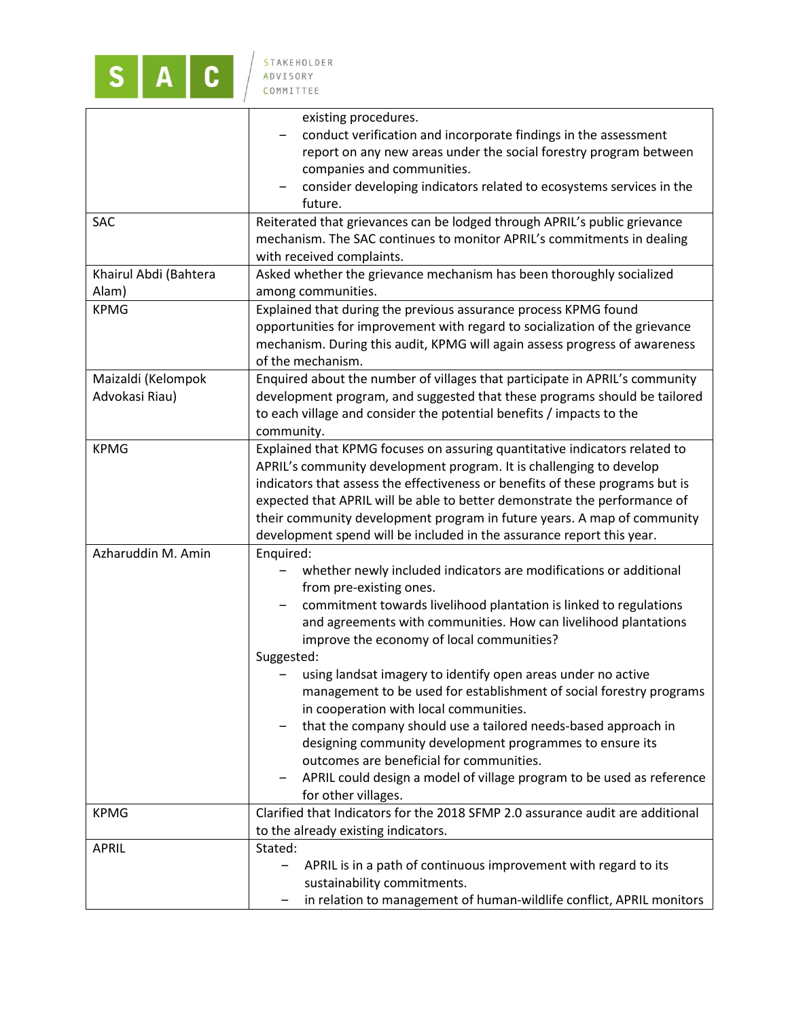

|                       | existing procedures.                                                           |
|-----------------------|--------------------------------------------------------------------------------|
|                       | conduct verification and incorporate findings in the assessment                |
|                       | report on any new areas under the social forestry program between              |
|                       | companies and communities.                                                     |
|                       | consider developing indicators related to ecosystems services in the           |
|                       | future.                                                                        |
|                       |                                                                                |
| SAC                   | Reiterated that grievances can be lodged through APRIL's public grievance      |
|                       | mechanism. The SAC continues to monitor APRIL's commitments in dealing         |
|                       | with received complaints.                                                      |
| Khairul Abdi (Bahtera | Asked whether the grievance mechanism has been thoroughly socialized           |
| Alam)                 | among communities.                                                             |
| <b>KPMG</b>           | Explained that during the previous assurance process KPMG found                |
|                       | opportunities for improvement with regard to socialization of the grievance    |
|                       | mechanism. During this audit, KPMG will again assess progress of awareness     |
|                       | of the mechanism.                                                              |
| Maizaldi (Kelompok    | Enquired about the number of villages that participate in APRIL's community    |
| Advokasi Riau)        | development program, and suggested that these programs should be tailored      |
|                       | to each village and consider the potential benefits / impacts to the           |
|                       | community.                                                                     |
| <b>KPMG</b>           | Explained that KPMG focuses on assuring quantitative indicators related to     |
|                       | APRIL's community development program. It is challenging to develop            |
|                       | indicators that assess the effectiveness or benefits of these programs but is  |
|                       | expected that APRIL will be able to better demonstrate the performance of      |
|                       |                                                                                |
|                       | their community development program in future years. A map of community        |
|                       | development spend will be included in the assurance report this year.          |
| Azharuddin M. Amin    | Enquired:                                                                      |
|                       | whether newly included indicators are modifications or additional              |
|                       | from pre-existing ones.                                                        |
|                       | commitment towards livelihood plantation is linked to regulations              |
|                       | and agreements with communities. How can livelihood plantations                |
|                       | improve the economy of local communities?                                      |
|                       | Suggested:                                                                     |
|                       | using landsat imagery to identify open areas under no active                   |
|                       | management to be used for establishment of social forestry programs            |
|                       | in cooperation with local communities.                                         |
|                       | that the company should use a tailored needs-based approach in                 |
|                       | designing community development programmes to ensure its                       |
|                       | outcomes are beneficial for communities.                                       |
|                       | APRIL could design a model of village program to be used as reference          |
|                       | for other villages.                                                            |
| <b>KPMG</b>           | Clarified that Indicators for the 2018 SFMP 2.0 assurance audit are additional |
|                       | to the already existing indicators.                                            |
| <b>APRIL</b>          | Stated:                                                                        |
|                       | —                                                                              |
|                       | APRIL is in a path of continuous improvement with regard to its                |
|                       | sustainability commitments.                                                    |
|                       | in relation to management of human-wildlife conflict, APRIL monitors           |